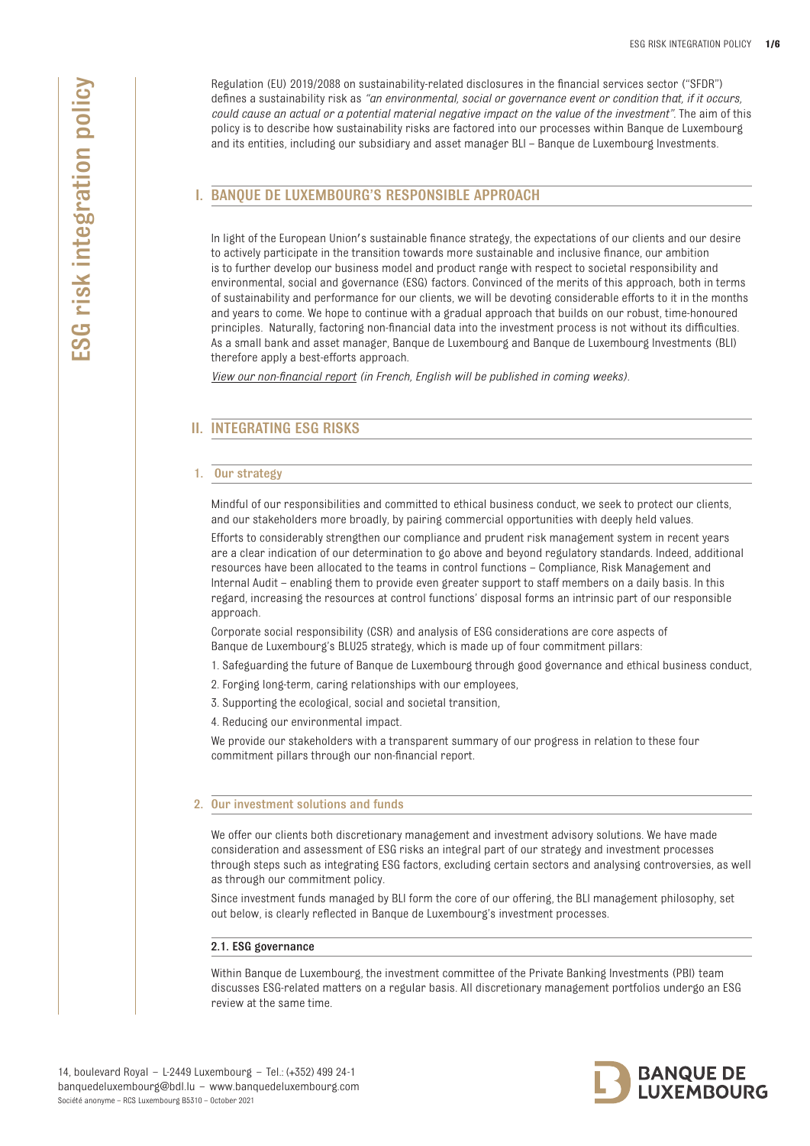# I. BANQUE DE LUXEMBOURG'S RESPONSIBLE APPROACH

In light of the European Union's sustainable finance strategy, the expectations of our clients and our desire to actively participate in the transition towards more sustainable and inclusive finance, our ambition is to further develop our business model and product range with respect to societal responsibility and environmental, social and governance (ESG) factors. Convinced of the merits of this approach, both in terms of sustainability and performance for our clients, we will be devoting considerable efforts to it in the months and years to come. We hope to continue with a gradual approach that builds on our robust, time-honoured principles. Naturally, factoring non-financial data into the investment process is not without its difficulties. As a small bank and asset manager, Banque de Luxembourg and Banque de Luxembourg Investments (BLI) therefore apply a best-efforts approach.

*[View our non-financial report \(in](https://www.banquedeluxembourg.com/documents/10184/3392438/Rapport+Extra+Financier+2021+-+Banque+de+Luxembourg.pdf/524da68c-8d3a-7f4f-8b96-f7f3a88f43a0?t=1627391751463) French, English will be published in coming weeks).*

# II. INTEGRATING ESG RISKS

#### 1. Our strategy

Mindful of our responsibilities and committed to ethical business conduct, we seek to protect our clients, and our stakeholders more broadly, by pairing commercial opportunities with deeply held values.

Efforts to considerably strengthen our compliance and prudent risk management system in recent years are a clear indication of our determination to go above and beyond regulatory standards. Indeed, additional resources have been allocated to the teams in control functions – Compliance, Risk Management and Internal Audit – enabling them to provide even greater support to staff members on a daily basis. In this regard, increasing the resources at control functions' disposal forms an intrinsic part of our responsible approach.

Corporate social responsibility (CSR) and analysis of ESG considerations are core aspects of Banque de Luxembourg's BLU25 strategy, which is made up of four commitment pillars:

1. Safeguarding the future of Banque de Luxembourg through good governance and ethical business conduct,

- 2. Forging long-term, caring relationships with our employees,
- 3. Supporting the ecological, social and societal transition,
- 4. Reducing our environmental impact.

We provide our stakeholders with a transparent summary of our progress in relation to these four commitment pillars through our non-financial report.

# 2. Our investment solutions and funds

We offer our clients both discretionary management and investment advisory solutions. We have made consideration and assessment of ESG risks an integral part of our strategy and investment processes through steps such as integrating ESG factors, excluding certain sectors and analysing controversies, as well as through our commitment policy.

Since investment funds managed by BLI form the core of our offering, the BLI management philosophy, set out below, is clearly reflected in Banque de Luxembourg's investment processes.

# 2.1. ESG governance

Within Banque de Luxembourg, the investment committee of the Private Banking Investments (PBI) team discusses ESG-related matters on a regular basis. All discretionary management portfolios undergo an ESG review at the same time.

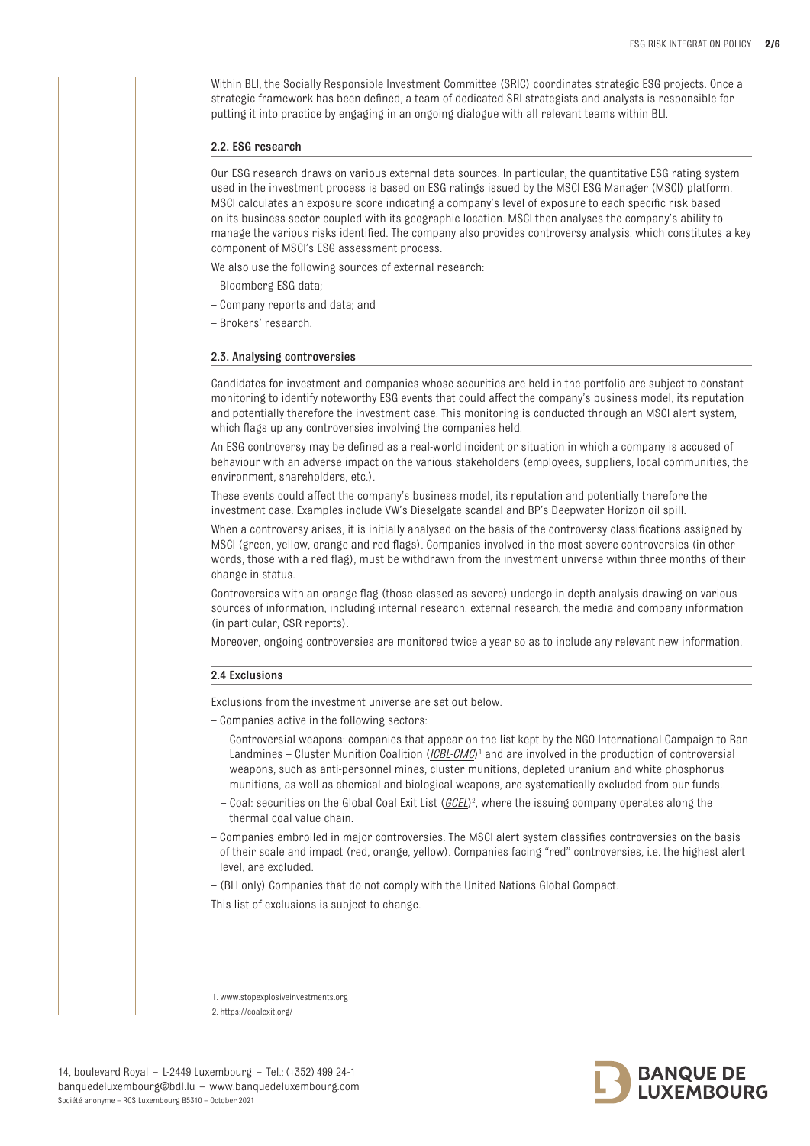Within BLI, the Socially Responsible Investment Committee (SRIC) coordinates strategic ESG projects. Once a strategic framework has been defined, a team of dedicated SRI strategists and analysts is responsible for putting it into practice by engaging in an ongoing dialogue with all relevant teams within BLI.

### 2.2. ESG research

Our ESG research draws on various external data sources. In particular, the quantitative ESG rating system used in the investment process is based on ESG ratings issued by the MSCI ESG Manager (MSCI) platform. MSCI calculates an exposure score indicating a company's level of exposure to each specific risk based on its business sector coupled with its geographic location. MSCI then analyses the company's ability to manage the various risks identified. The company also provides controversy analysis, which constitutes a key component of MSCI's ESG assessment process.

We also use the following sources of external research:

- Bloomberg ESG data;
- Company reports and data; and
- Brokers' research.

### 2.3. Analysing controversies

Candidates for investment and companies whose securities are held in the portfolio are subject to constant monitoring to identify noteworthy ESG events that could affect the company's business model, its reputation and potentially therefore the investment case. This monitoring is conducted through an MSCI alert system, which flags up any controversies involving the companies held.

An ESG controversy may be defined as a real-world incident or situation in which a company is accused of behaviour with an adverse impact on the various stakeholders (employees, suppliers, local communities, the environment shareholders etc.)

These events could affect the company's business model, its reputation and potentially therefore the investment case. Examples include VW's Dieselgate scandal and BP's Deepwater Horizon oil spill.

When a controversy arises, it is initially analysed on the basis of the controversy classifications assigned by MSCI (green, yellow, orange and red flags). Companies involved in the most severe controversies (in other words, those with a red flag), must be withdrawn from the investment universe within three months of their change in status.

Controversies with an orange flag (those classed as severe) undergo in-depth analysis drawing on various sources of information, including internal research, external research, the media and company information (in particular, CSR reports).

Moreover, ongoing controversies are monitored twice a year so as to include any relevant new information.

### 2.4 Exclusions

Exclusions from the investment universe are set out below.

– Companies active in the following sectors:

- Controversial weapons: companies that appear on the list kept by the NGO International Campaign to Ban Landmines - Cluster Munition Coalition (*[ICBL-CMC](www.stopexplosiveinvestments.org)*)<sup>1</sup> and are involved in the production of controversial weapons, such as anti-personnel mines, cluster munitions, depleted uranium and white phosphorus munitions, as well as chemical and biological weapons, are systematically excluded from our funds.
- Coal: securities on the Global Coal Exit List (*[GCEL](https://coalexit.org/)*) 2 , where the issuing company operates along the thermal coal value chain.
- Companies embroiled in major controversies. The MSCI alert system classifies controversies on the basis of their scale and impact (red, orange, yellow). Companies facing "red" controversies, i.e. the highest alert level, are excluded.
- (BLI only) Companies that do not comply with the United Nations Global Compact.

This list of exclusions is subject to change.

1. www.stopexplosiveinvestments.org 2. https://coalexit.org/

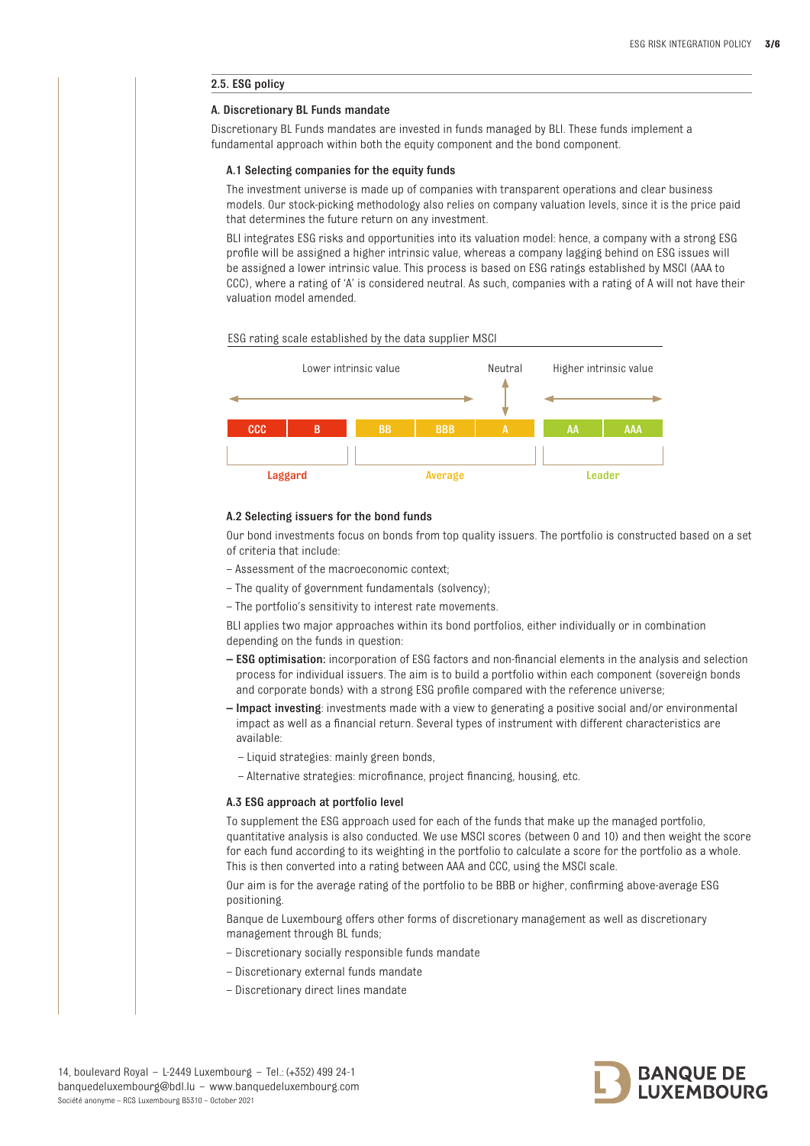# 2.5. ESG policy

# A. Discretionary BL Funds mandate

Discretionary BL Funds mandates are invested in funds managed by BLI. These funds implement a fundamental approach within both the equity component and the bond component.

#### A.1 Selecting companies for the equity funds

The investment universe is made up of companies with transparent operations and clear business models. Our stock-picking methodology also relies on company valuation levels, since it is the price paid that determines the future return on any investment.

BLI integrates ESG risks and opportunities into its valuation model: hence, a company with a strong ESG profile will be assigned a higher intrinsic value, whereas a company lagging behind on ESG issues will be assigned a lower intrinsic value. This process is based on ESG ratings established by MSCI (AAA to CCC), where a rating of 'A' is considered neutral. As such, companies with a rating of A will not have their valuation model amended.





# A.2 Selecting issuers for the bond funds

Our bond investments focus on bonds from top quality issuers. The portfolio is constructed based on a set of criteria that include:

- Assessment of the macroeconomic context;
- The quality of government fundamentals (solvency);
- The portfolio's sensitivity to interest rate movements.

BLI applies two major approaches within its bond portfolios, either individually or in combination depending on the funds in question:

- ESG optimisation: incorporation of ESG factors and non-financial elements in the analysis and selection process for individual issuers. The aim is to build a portfolio within each component (sovereign bonds and corporate bonds) with a strong ESG profile compared with the reference universe;
- Impact investing: investments made with a view to generating a positive social and/or environmental impact as well as a financial return. Several types of instrument with different characteristics are available:
	- Liquid strategies: mainly green bonds,
	- Alternative strategies: microfinance, project financing, housing, etc.

# A.3 ESG approach at portfolio level

To supplement the ESG approach used for each of the funds that make up the managed portfolio, quantitative analysis is also conducted. We use MSCI scores (between 0 and 10) and then weight the score for each fund according to its weighting in the portfolio to calculate a score for the portfolio as a whole. This is then converted into a rating between AAA and CCC, using the MSCI scale.

Our aim is for the average rating of the portfolio to be BBB or higher, confirming above-average ESG positioning.

Banque de Luxembourg offers other forms of discretionary management as well as discretionary management through BL funds;

- Discretionary socially responsible funds mandate
- Discretionary external funds mandate
- Discretionary direct lines mandate

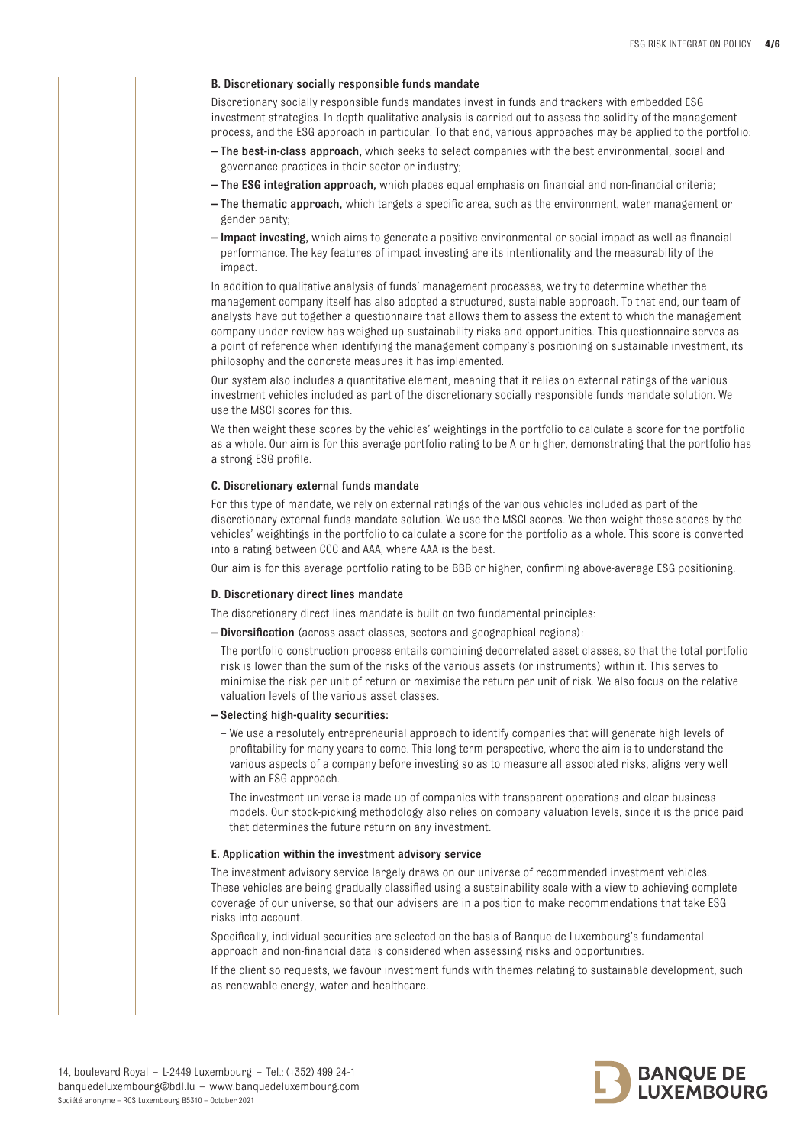# B. Discretionary socially responsible funds mandate

Discretionary socially responsible funds mandates invest in funds and trackers with embedded ESG investment strategies. In-depth qualitative analysis is carried out to assess the solidity of the management process, and the ESG approach in particular. To that end, various approaches may be applied to the portfolio:

- The best-in-class approach, which seeks to select companies with the best environmental, social and governance practices in their sector or industry;
- The ESG integration approach, which places equal emphasis on financial and non-financial criteria;
- The thematic approach, which targets a specific area, such as the environment, water management or gender parity;
- Impact investing, which aims to generate a positive environmental or social impact as well as financial performance. The key features of impact investing are its intentionality and the measurability of the impact.

In addition to qualitative analysis of funds' management processes, we try to determine whether the management company itself has also adopted a structured, sustainable approach. To that end, our team of analysts have put together a questionnaire that allows them to assess the extent to which the management company under review has weighed up sustainability risks and opportunities. This questionnaire serves as a point of reference when identifying the management company's positioning on sustainable investment, its philosophy and the concrete measures it has implemented.

Our system also includes a quantitative element, meaning that it relies on external ratings of the various investment vehicles included as part of the discretionary socially responsible funds mandate solution. We use the MSCI scores for this.

We then weight these scores by the vehicles' weightings in the portfolio to calculate a score for the portfolio as a whole. Our aim is for this average portfolio rating to be A or higher, demonstrating that the portfolio has a strong ESG profile.

# C. Discretionary external funds mandate

For this type of mandate, we rely on external ratings of the various vehicles included as part of the discretionary external funds mandate solution. We use the MSCI scores. We then weight these scores by the vehicles' weightings in the portfolio to calculate a score for the portfolio as a whole. This score is converted into a rating between CCC and AAA, where AAA is the best.

Our aim is for this average portfolio rating to be BBB or higher, confirming above-average ESG positioning.

### D. Discretionary direct lines mandate

The discretionary direct lines mandate is built on two fundamental principles:

– Diversification (across asset classes, sectors and geographical regions):

The portfolio construction process entails combining decorrelated asset classes, so that the total portfolio risk is lower than the sum of the risks of the various assets (or instruments) within it. This serves to minimise the risk per unit of return or maximise the return per unit of risk. We also focus on the relative valuation levels of the various asset classes.

# – Selecting high-quality securities:

- We use a resolutely entrepreneurial approach to identify companies that will generate high levels of profitability for many years to come. This long-term perspective, where the aim is to understand the various aspects of a company before investing so as to measure all associated risks, aligns very well with an ESG approach.
- The investment universe is made up of companies with transparent operations and clear business models. Our stock-picking methodology also relies on company valuation levels, since it is the price paid that determines the future return on any investment.

#### E. Application within the investment advisory service

The investment advisory service largely draws on our universe of recommended investment vehicles. These vehicles are being gradually classified using a sustainability scale with a view to achieving complete coverage of our universe, so that our advisers are in a position to make recommendations that take ESG risks into account.

Specifically, individual securities are selected on the basis of Banque de Luxembourg's fundamental approach and non-financial data is considered when assessing risks and opportunities.

If the client so requests, we favour investment funds with themes relating to sustainable development, such as renewable energy, water and healthcare.

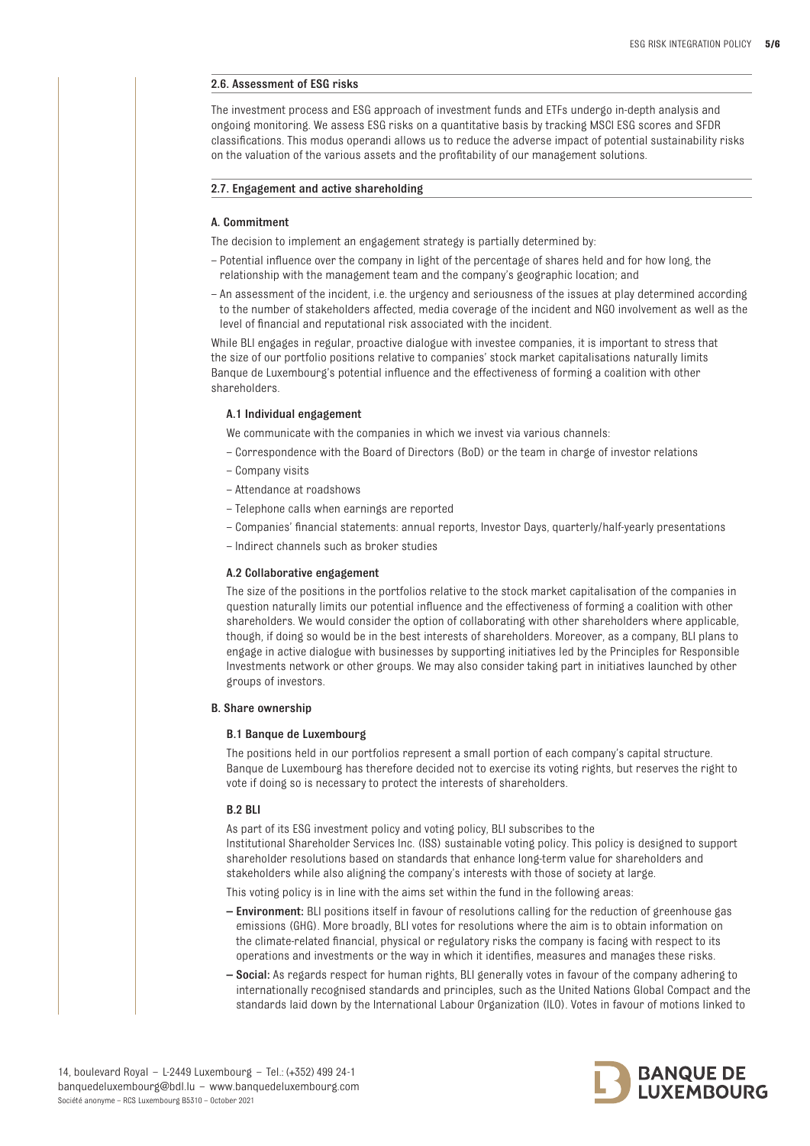# 2.6. Assessment of ESG risks

The investment process and ESG approach of investment funds and ETFs undergo in-depth analysis and ongoing monitoring. We assess ESG risks on a quantitative basis by tracking MSCI ESG scores and SFDR classifications. This modus operandi allows us to reduce the adverse impact of potential sustainability risks on the valuation of the various assets and the profitability of our management solutions.

## 2.7. Engagement and active shareholding

### A. Commitment

The decision to implement an engagement strategy is partially determined by:

- Potential influence over the company in light of the percentage of shares held and for how long, the relationship with the management team and the company's geographic location; and
- An assessment of the incident, i.e. the urgency and seriousness of the issues at play determined according to the number of stakeholders affected, media coverage of the incident and NGO involvement as well as the level of financial and reputational risk associated with the incident.

While BLI engages in regular, proactive dialogue with investee companies, it is important to stress that the size of our portfolio positions relative to companies' stock market capitalisations naturally limits Banque de Luxembourg's potential influence and the effectiveness of forming a coalition with other shareholders.

## A.1 Individual engagement

We communicate with the companies in which we invest via various channels:

- Correspondence with the Board of Directors (BoD) or the team in charge of investor relations
- Company visits
- Attendance at roadshows
- Telephone calls when earnings are reported
- Companies' financial statements: annual reports, Investor Days, quarterly/half-yearly presentations
- Indirect channels such as broker studies

### A.2 Collaborative engagement

The size of the positions in the portfolios relative to the stock market capitalisation of the companies in question naturally limits our potential influence and the effectiveness of forming a coalition with other shareholders. We would consider the option of collaborating with other shareholders where applicable, though, if doing so would be in the best interests of shareholders. Moreover, as a company, BLI plans to engage in active dialogue with businesses by supporting initiatives led by the Principles for Responsible Investments network or other groups. We may also consider taking part in initiatives launched by other groups of investors.

### B. Share ownership

### B.1 Banque de Luxembourg

The positions held in our portfolios represent a small portion of each company's capital structure. Banque de Luxembourg has therefore decided not to exercise its voting rights, but reserves the right to vote if doing so is necessary to protect the interests of shareholders.

# B.2 BLI

As part of its ESG investment policy and voting policy, BLI subscribes to the Institutional Shareholder Services Inc. (ISS) sustainable voting policy. This policy is designed to support shareholder resolutions based on standards that enhance long-term value for shareholders and stakeholders while also aligning the company's interests with those of society at large.

This voting policy is in line with the aims set within the fund in the following areas:

- Environment: BLI positions itself in favour of resolutions calling for the reduction of greenhouse gas emissions (GHG). More broadly, BLI votes for resolutions where the aim is to obtain information on the climate-related financial, physical or regulatory risks the company is facing with respect to its operations and investments or the way in which it identifies, measures and manages these risks.
- Social: As regards respect for human rights, BLI generally votes in favour of the company adhering to internationally recognised standards and principles, such as the United Nations Global Compact and the standards laid down by the International Labour Organization (ILO). Votes in favour of motions linked to